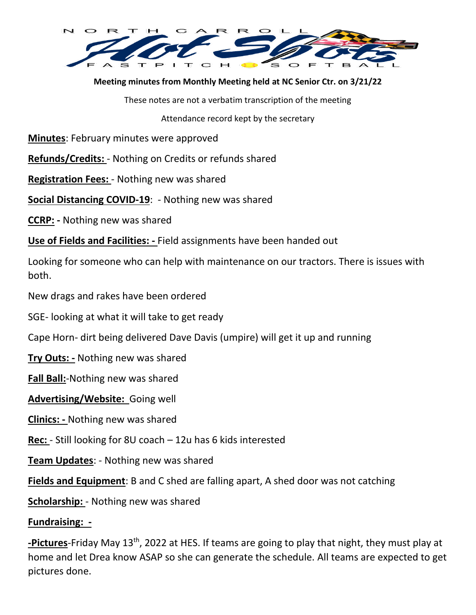

**Meeting minutes from Monthly Meeting held at NC Senior Ctr. on 3/21/22** 

These notes are not a verbatim transcription of the meeting

Attendance record kept by the secretary

**Minutes**: February minutes were approved

**Refunds/Credits:** - Nothing on Credits or refunds shared

**Registration Fees:** - Nothing new was shared

**Social Distancing COVID-19**: - Nothing new was shared

**CCRP: -** Nothing new was shared

**Use of Fields and Facilities: -** Field assignments have been handed out

Looking for someone who can help with maintenance on our tractors. There is issues with both.

New drags and rakes have been ordered

SGE- looking at what it will take to get ready

Cape Horn- dirt being delivered Dave Davis (umpire) will get it up and running

**Try Outs: -** Nothing new was shared

**Fall Ball:**-Nothing new was shared

**Advertising/Website:** Going well

**Clinics: -** Nothing new was shared

**Rec:** - Still looking for 8U coach – 12u has 6 kids interested

**Team Updates**: - Nothing new was shared

**Fields and Equipment**: B and C shed are falling apart, A shed door was not catching

**Scholarship:** - Nothing new was shared

## **Fundraising: -**

**-Pictures**-Friday May 13th, 2022 at HES. If teams are going to play that night, they must play at home and let Drea know ASAP so she can generate the schedule. All teams are expected to get pictures done.